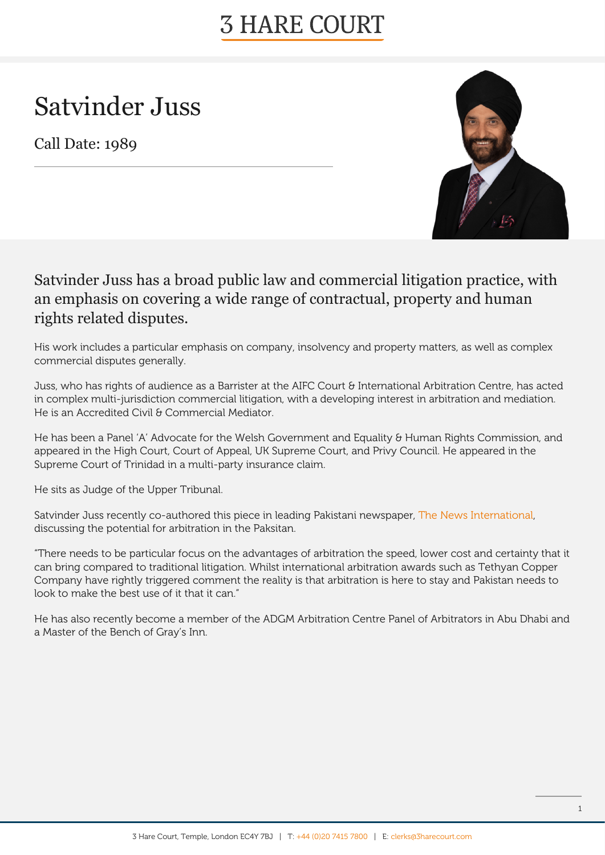# **3 HARE COURT**

# Satvinder Juss

Call Date: 1989



#### Satvinder Juss has a broad public law and commercial litigation practice, with an emphasis on covering a wide range of contractual, property and human rights related disputes.

His work includes a particular emphasis on company, insolvency and property matters, as well as complex commercial disputes generally.

Juss, who has rights of audience as a Barrister at the AIFC Court & International Arbitration Centre, has acted in complex multi-jurisdiction commercial litigation, with a developing interest in arbitration and mediation. He is an Accredited Civil & Commercial Mediator.

He has been a Panel 'A' Advocate for the Welsh Government and Equality & Human Rights Commission, and appeared in the High Court, Court of Appeal, UK Supreme Court, and Privy Council. He appeared in the Supreme Court of Trinidad in a multi-party insurance claim.

He sits as Judge of the Upper Tribunal.

Satvinder Juss recently co-authored this piece in leading Pakistani newspaper, [The News International,](https://www.thenews.com.pk/print/818712-the-endless-potential-for-arbitration-in-pakistan) discussing the potential for arbitration in the Paksitan.

"There needs to be particular focus on the advantages of arbitration the speed, lower cost and certainty that it can bring compared to traditional litigation. Whilst international arbitration awards such as Tethyan Copper Company have rightly triggered comment the reality is that arbitration is here to stay and Pakistan needs to look to make the best use of it that it can."

He has also recently become a member of the ADGM Arbitration Centre Panel of Arbitrators in Abu Dhabi and a Master of the Bench of Gray's Inn.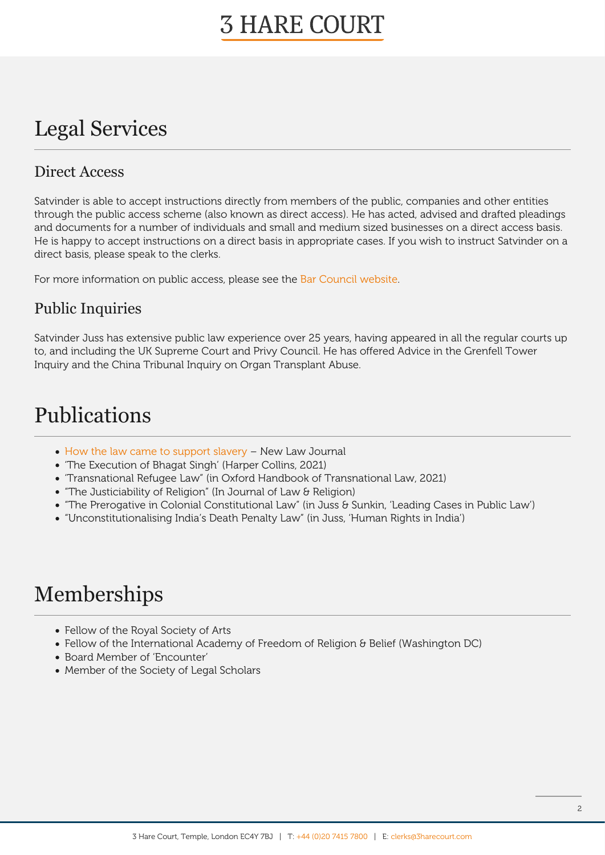## **3 HARE COURT**

### Legal Services

#### Direct Access

Satvinder is able to accept instructions directly from members of the public, companies and other entities through the public access scheme (also known as direct access). He has acted, advised and drafted pleadings and documents for a number of individuals and small and medium sized businesses on a direct access basis. He is happy to accept instructions on a direct basis in appropriate cases. If you wish to instruct Satvinder on a direct basis, please speak to the clerks.

For more information on public access, please see the [Bar Council website](https://www.barcouncil.org.uk/bar-council-services/for-the-public.html).

#### Public Inquiries

Satvinder Juss has extensive public law experience over 25 years, having appeared in all the regular courts up to, and including the UK Supreme Court and Privy Council. He has offered Advice in the Grenfell Tower Inquiry and the China Tribunal Inquiry on Organ Transplant Abuse.

### Publications

- [How the law came to support slavery](https://3xuhxi1g279p1z966c3knla6-wpengine.netdna-ssl.com/wp-content/uploads/2020/12/nlj_2020_issue7904_oct_comment_juss.pdf) New Law Journal
- 'The Execution of Bhagat Singh' (Harper Collins, 2021)
- 'Transnational Refugee Law" (in Oxford Handbook of Transnational Law, 2021)
- "The Justiciability of Religion" (In Journal of Law & Religion)
- "The Prerogative in Colonial Constitutional Law" (in Juss & Sunkin, 'Leading Cases in Public Law')
- "Unconstitutionalising India's Death Penalty Law" (in Juss, 'Human Rights in India')

### Memberships

- Fellow of the Royal Society of Arts
- Fellow of the International Academy of Freedom of Religion & Belief (Washington DC)
- Board Member of 'Encounter'
- Member of the Society of Legal Scholars